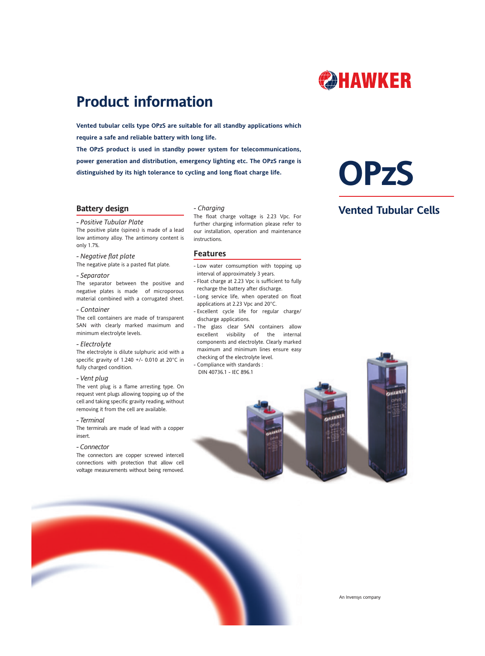

# **Product information**

**Vented tubular cells type OPzS are suitable for all standby applications which require a safe and reliable battery with long life.**

**The OPzS product is used in standby power system for telecommunications, power generation and distribution, emergency lighting etc. The OPzS range is distinguished by its high tolerance to cycling and long float charge life.**

# **OPzS**

**Vented Tubular Cells**

# **Battery design**

#### *- Positive Tubular Plate*

The positive plate (spines) is made of a lead low antimony alloy. The antimony content is only 1.7%.

# *- Negative flat plate*

The negative plate is a pasted flat plate.

#### *- Separator*

The separator between the positive and negative plates is made of microporous material combined with a corrugated sheet.

#### *- Container*

The cell containers are made of transparent SAN with clearly marked maximum and minimum electrolyte levels.

#### *- Electrolyte*

The electrolyte is dilute sulphuric acid with a specific gravity of 1.240 +/- 0.010 at 20°C in fully charged condition.

#### *- Vent plug*

The vent plug is a flame arresting type. On request vent plugs allowing topping up of the cell and taking specific gravity reading, without removing it from the cell are available.

## *- Terminal*

The terminals are made of lead with a copper insert.

#### *- Connector*

The connectors are copper screwed intercell connections with protection that allow cell voltage measurements without being removed.

# *- Charging*

The float charge voltage is 2.23 Vpc. For further charging information please refer to our installation, operation and maintenance instructions.

## **Features**

- Low water comsumption with topping up interval of approximately 3 years.
- Float charge at 2.23 Vpc is sufficient to fully recharge the battery after discharge.
- Long service life, when operated on float applications at 2.23 Vpc and 20°C.
- Excellent cycle life for regular charge/ discharge applications.
- The glass clear SAN containers allow excellent visibility of the internal components and electrolyte. Clearly marked maximum and minimum lines ensure easy checking of the electrolyte level. - Compliance with standards :
- DIN 40736.1 IEC 896.1